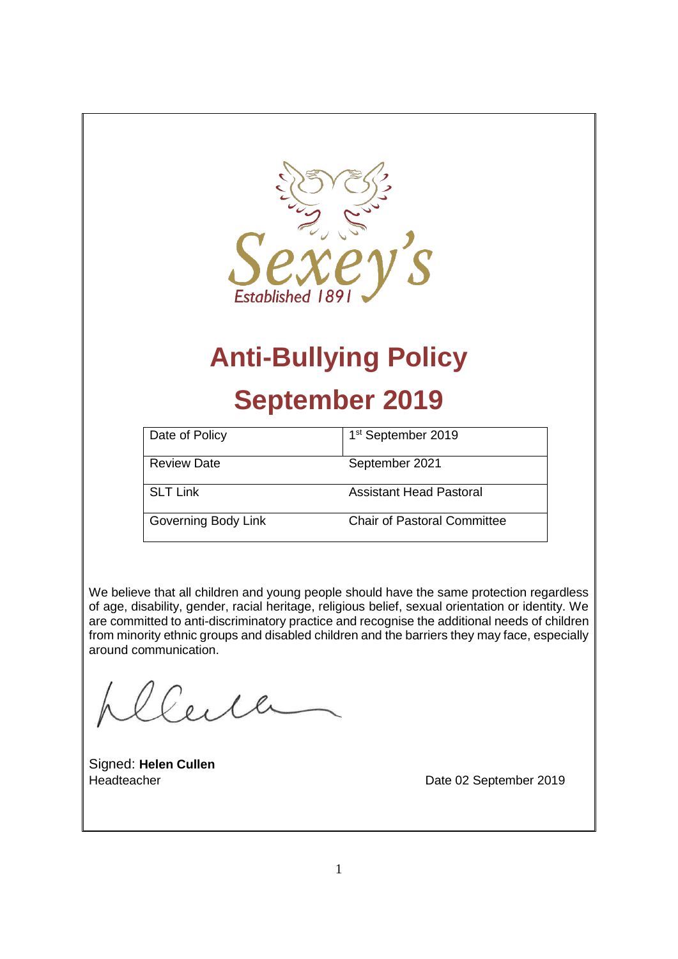

# **Anti-Bullying Policy**

# **September 2019**

| Date of Policy      | 1 <sup>st</sup> September 2019 |
|---------------------|--------------------------------|
| <b>Review Date</b>  | September 2021                 |
| <b>SLT Link</b>     | Assistant Head Pastoral        |
| Governing Body Link | Chair of Pastoral Committee    |

We believe that all children and young people should have the same protection regardless of age, disability, gender, racial heritage, religious belief, sexual orientation or identity. We are committed to anti-discriminatory practice and recognise the additional needs of children from minority ethnic groups and disabled children and the barriers they may face, especially around communication.

Signed: **Helen Cullen**

Headteacher **Date 02 September 2019**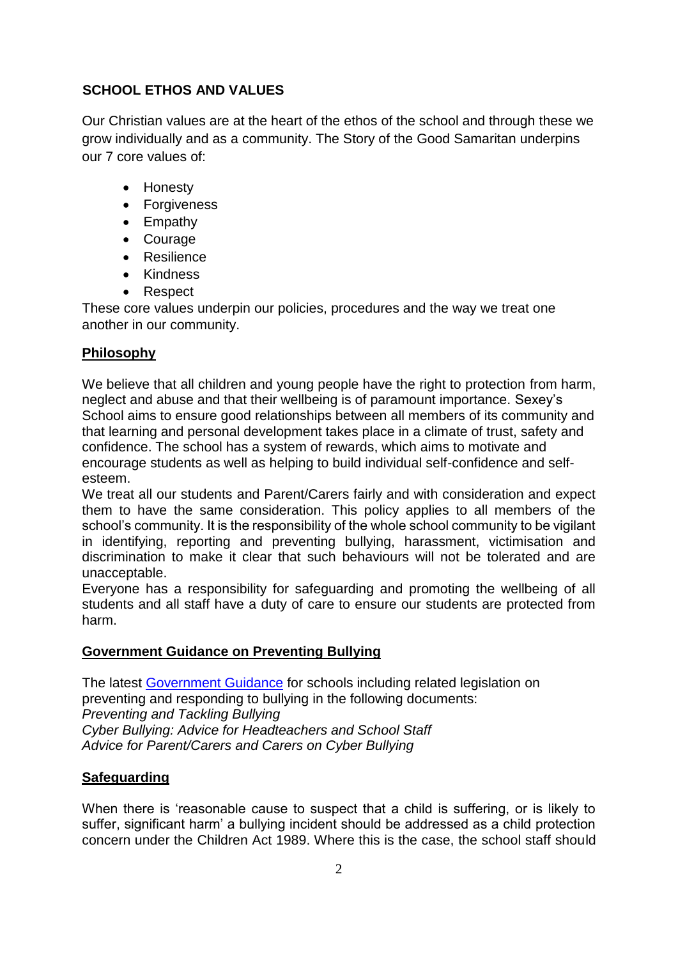### **SCHOOL ETHOS AND VALUES**

Our Christian values are at the heart of the ethos of the school and through these we grow individually and as a community. The Story of the Good Samaritan underpins our 7 core values of:

- Honesty
- Forgiveness
- Empathy
- Courage
- Resilience
- Kindness
- Respect

These core values underpin our policies, procedures and the way we treat one another in our community.

# **Philosophy**

We believe that all children and young people have the right to protection from harm, neglect and abuse and that their wellbeing is of paramount importance. Sexey's School aims to ensure good relationships between all members of its community and that learning and personal development takes place in a climate of trust, safety and confidence. The school has a system of rewards, which aims to motivate and encourage students as well as helping to build individual self-confidence and selfesteem.

We treat all our students and Parent/Carers fairly and with consideration and expect them to have the same consideration. This policy applies to all members of the school's community. It is the responsibility of the whole school community to be vigilant in identifying, reporting and preventing bullying, harassment, victimisation and discrimination to make it clear that such behaviours will not be tolerated and are unacceptable.

Everyone has a responsibility for safeguarding and promoting the wellbeing of all students and all staff have a duty of care to ensure our students are protected from harm.

# **Government Guidance on Preventing Bullying**

The latest [Government Guidance](https://www.gov.uk/government/publications/preventing-and-tackling-bullying) for schools including related legislation on preventing and responding to bullying in the following documents: *Preventing and Tackling Bullying Cyber Bullying: Advice for Headteachers and School Staff Advice for Parent/Carers and Carers on Cyber Bullying*

# **Safeguarding**

When there is 'reasonable cause to suspect that a child is suffering, or is likely to suffer, significant harm' a bullying incident should be addressed as a child protection concern under the Children Act 1989. Where this is the case, the school staff should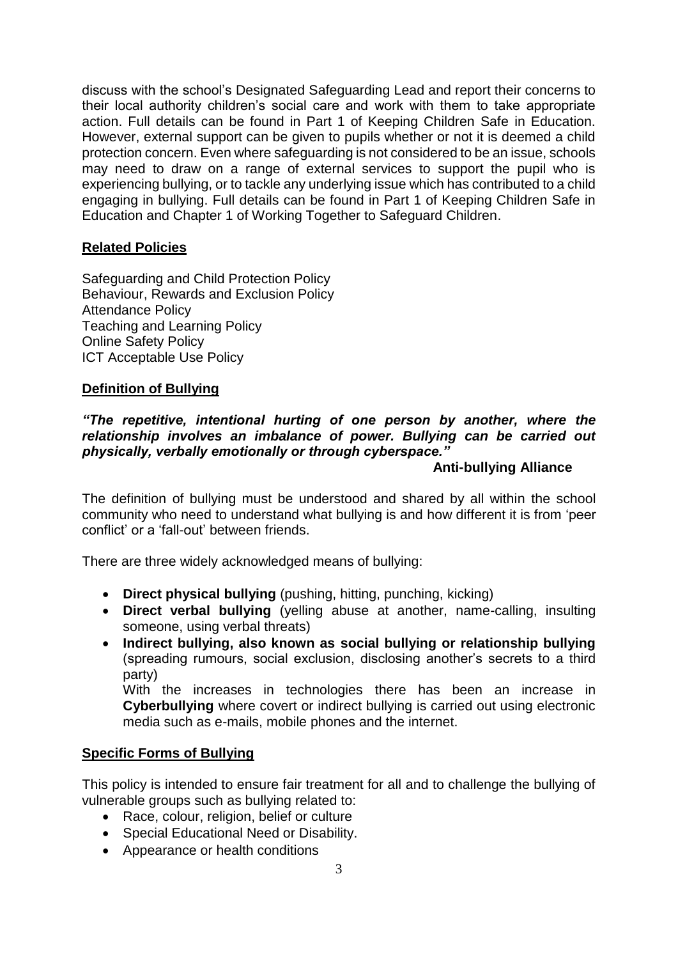discuss with the school's Designated Safeguarding Lead and report their concerns to their local authority children's social care and work with them to take appropriate action. Full details can be found in Part 1 of Keeping Children Safe in Education. However, external support can be given to pupils whether or not it is deemed a child protection concern. Even where safeguarding is not considered to be an issue, schools may need to draw on a range of external services to support the pupil who is experiencing bullying, or to tackle any underlying issue which has contributed to a child engaging in bullying. Full details can be found in Part 1 of Keeping Children Safe in Education and Chapter 1 of Working Together to Safeguard Children.

#### **Related Policies**

Safeguarding and Child Protection Policy Behaviour, Rewards and Exclusion Policy Attendance Policy Teaching and Learning Policy Online Safety Policy ICT Acceptable Use Policy

#### **Definition of Bullying**

#### *"The repetitive, intentional hurting of one person by another, where the relationship involves an imbalance of power. Bullying can be carried out physically, verbally emotionally or through cyberspace."*

#### **Anti-bullying Alliance**

The definition of bullying must be understood and shared by all within the school community who need to understand what bullying is and how different it is from 'peer conflict' or a 'fall-out' between friends.

There are three widely acknowledged means of bullying:

- **Direct physical bullying** (pushing, hitting, punching, kicking)
- **Direct verbal bullying** (yelling abuse at another, name-calling, insulting someone, using verbal threats)
- **Indirect bullying, also known as social bullying or relationship bullying** (spreading rumours, social exclusion, disclosing another's secrets to a third party)

With the increases in technologies there has been an increase in **Cyberbullying** where covert or indirect bullying is carried out using electronic media such as e-mails, mobile phones and the internet.

#### **Specific Forms of Bullying**

This policy is intended to ensure fair treatment for all and to challenge the bullying of vulnerable groups such as bullying related to:

- Race, colour, religion, belief or culture
- Special Educational Need or Disability.
- Appearance or health conditions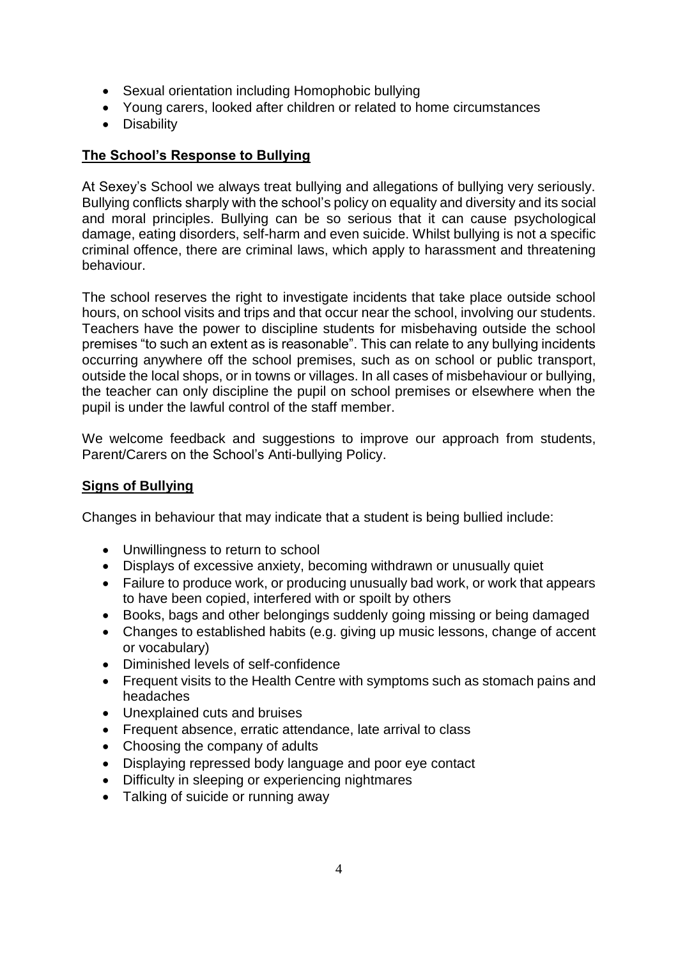- Sexual orientation including Homophobic bullying
- Young carers, looked after children or related to home circumstances
- Disability

#### **The School's Response to Bullying**

At Sexey's School we always treat bullying and allegations of bullying very seriously. Bullying conflicts sharply with the school's policy on equality and diversity and its social and moral principles. Bullying can be so serious that it can cause psychological damage, eating disorders, self-harm and even suicide. Whilst bullying is not a specific criminal offence, there are criminal laws, which apply to harassment and threatening behaviour.

The school reserves the right to investigate incidents that take place outside school hours, on school visits and trips and that occur near the school, involving our students. Teachers have the power to discipline students for misbehaving outside the school premises "to such an extent as is reasonable". This can relate to any bullying incidents occurring anywhere off the school premises, such as on school or public transport, outside the local shops, or in towns or villages. In all cases of misbehaviour or bullying, the teacher can only discipline the pupil on school premises or elsewhere when the pupil is under the lawful control of the staff member.

We welcome feedback and suggestions to improve our approach from students, Parent/Carers on the School's Anti-bullying Policy.

#### **Signs of Bullying**

Changes in behaviour that may indicate that a student is being bullied include:

- Unwillingness to return to school
- Displays of excessive anxiety, becoming withdrawn or unusually quiet
- Failure to produce work, or producing unusually bad work, or work that appears to have been copied, interfered with or spoilt by others
- Books, bags and other belongings suddenly going missing or being damaged
- Changes to established habits (e.g. giving up music lessons, change of accent or vocabulary)
- Diminished levels of self-confidence
- Frequent visits to the Health Centre with symptoms such as stomach pains and headaches
- Unexplained cuts and bruises
- Frequent absence, erratic attendance, late arrival to class
- Choosing the company of adults
- Displaying repressed body language and poor eye contact
- Difficulty in sleeping or experiencing nightmares
- Talking of suicide or running away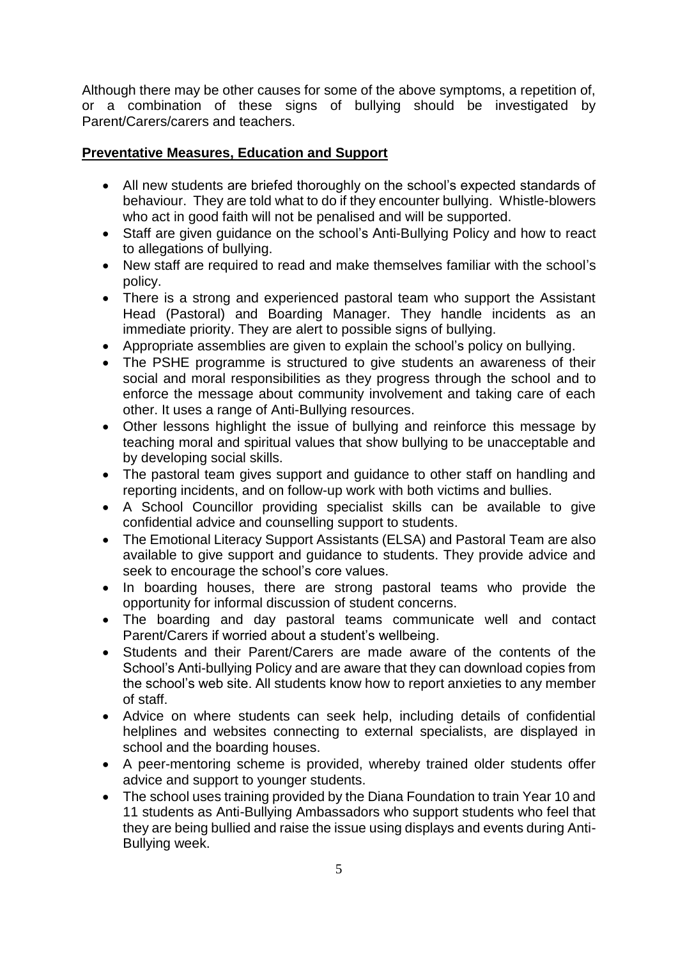Although there may be other causes for some of the above symptoms, a repetition of, or a combination of these signs of bullying should be investigated by Parent/Carers/carers and teachers.

# **Preventative Measures, Education and Support**

- All new students are briefed thoroughly on the school's expected standards of behaviour. They are told what to do if they encounter bullying. Whistle-blowers who act in good faith will not be penalised and will be supported.
- Staff are given guidance on the school's Anti-Bullying Policy and how to react to allegations of bullying.
- New staff are required to read and make themselves familiar with the school's policy.
- There is a strong and experienced pastoral team who support the Assistant Head (Pastoral) and Boarding Manager. They handle incidents as an immediate priority. They are alert to possible signs of bullying.
- Appropriate assemblies are given to explain the school's policy on bullying.
- The PSHE programme is structured to give students an awareness of their social and moral responsibilities as they progress through the school and to enforce the message about community involvement and taking care of each other. It uses a range of Anti-Bullying resources.
- Other lessons highlight the issue of bullying and reinforce this message by teaching moral and spiritual values that show bullying to be unacceptable and by developing social skills.
- The pastoral team gives support and guidance to other staff on handling and reporting incidents, and on follow-up work with both victims and bullies.
- A School Councillor providing specialist skills can be available to give confidential advice and counselling support to students.
- The Emotional Literacy Support Assistants (ELSA) and Pastoral Team are also available to give support and guidance to students. They provide advice and seek to encourage the school's core values.
- In boarding houses, there are strong pastoral teams who provide the opportunity for informal discussion of student concerns.
- The boarding and day pastoral teams communicate well and contact Parent/Carers if worried about a student's wellbeing.
- Students and their Parent/Carers are made aware of the contents of the School's Anti-bullying Policy and are aware that they can download copies from the school's web site. All students know how to report anxieties to any member of staff.
- Advice on where students can seek help, including details of confidential helplines and websites connecting to external specialists, are displayed in school and the boarding houses.
- A peer-mentoring scheme is provided, whereby trained older students offer advice and support to younger students.
- The school uses training provided by the Diana Foundation to train Year 10 and 11 students as Anti-Bullying Ambassadors who support students who feel that they are being bullied and raise the issue using displays and events during Anti-Bullying week.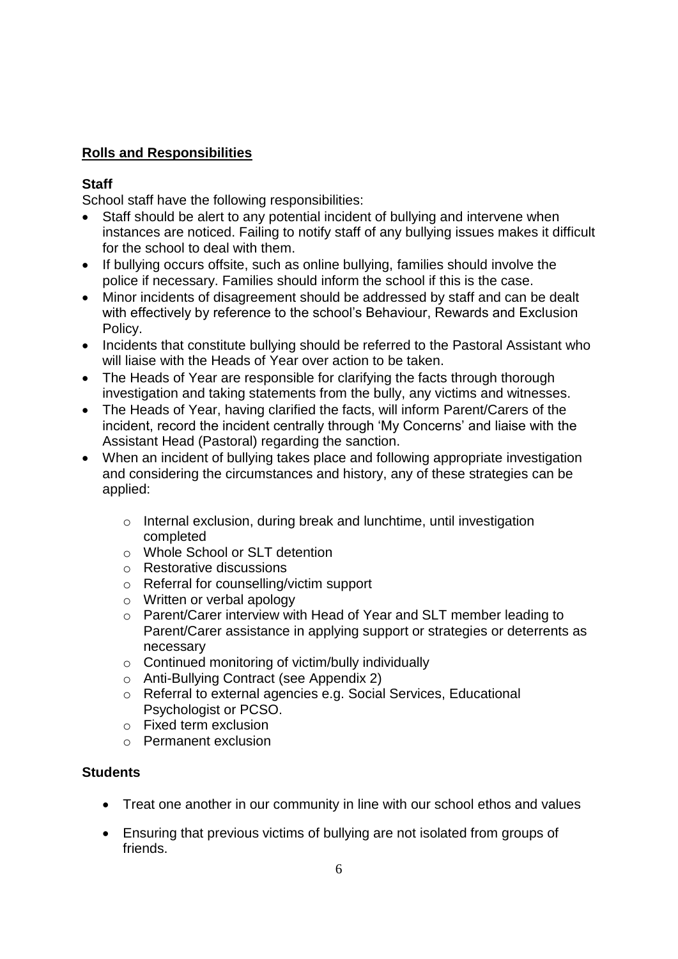# **Rolls and Responsibilities**

#### **Staff**

School staff have the following responsibilities:

- Staff should be alert to any potential incident of bullying and intervene when instances are noticed. Failing to notify staff of any bullying issues makes it difficult for the school to deal with them.
- If bullying occurs offsite, such as online bullying, families should involve the police if necessary. Families should inform the school if this is the case.
- Minor incidents of disagreement should be addressed by staff and can be dealt with effectively by reference to the school's Behaviour, Rewards and Exclusion Policy.
- Incidents that constitute bullying should be referred to the Pastoral Assistant who will liaise with the Heads of Year over action to be taken.
- The Heads of Year are responsible for clarifying the facts through thorough investigation and taking statements from the bully, any victims and witnesses.
- The Heads of Year, having clarified the facts, will inform Parent/Carers of the incident, record the incident centrally through 'My Concerns' and liaise with the Assistant Head (Pastoral) regarding the sanction.
- When an incident of bullying takes place and following appropriate investigation and considering the circumstances and history, any of these strategies can be applied:
	- o Internal exclusion, during break and lunchtime, until investigation completed
	- o Whole School or SLT detention
	- o Restorative discussions
	- o Referral for counselling/victim support
	- o Written or verbal apology
	- o Parent/Carer interview with Head of Year and SLT member leading to Parent/Carer assistance in applying support or strategies or deterrents as necessary
	- $\circ$  Continued monitoring of victim/bully individually
	- o Anti-Bullying Contract (see Appendix 2)
	- o Referral to external agencies e.g. Social Services, Educational Psychologist or PCSO.
	- o Fixed term exclusion
	- o Permanent exclusion

# **Students**

- Treat one another in our community in line with our school ethos and values
- Ensuring that previous victims of bullying are not isolated from groups of friends.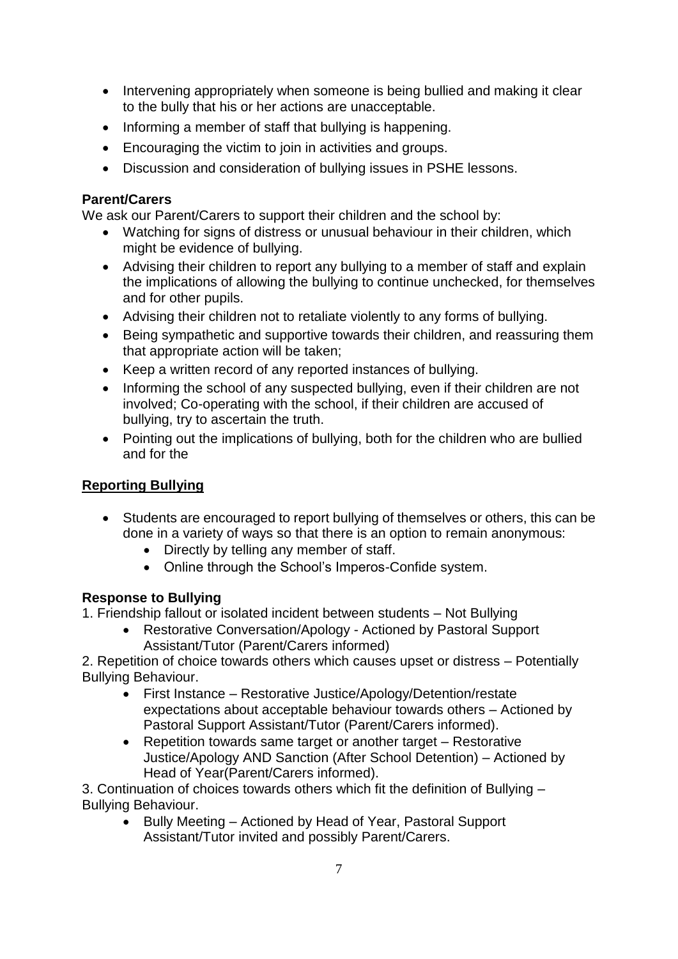- Intervening appropriately when someone is being bullied and making it clear to the bully that his or her actions are unacceptable.
- Informing a member of staff that bullying is happening.
- Encouraging the victim to join in activities and groups.
- Discussion and consideration of bullying issues in PSHE lessons.

### **Parent/Carers**

We ask our Parent/Carers to support their children and the school by:

- Watching for signs of distress or unusual behaviour in their children, which might be evidence of bullying.
- Advising their children to report any bullying to a member of staff and explain the implications of allowing the bullying to continue unchecked, for themselves and for other pupils.
- Advising their children not to retaliate violently to any forms of bullying.
- Being sympathetic and supportive towards their children, and reassuring them that appropriate action will be taken;
- Keep a written record of any reported instances of bullying.
- Informing the school of any suspected bullying, even if their children are not involved; Co-operating with the school, if their children are accused of bullying, try to ascertain the truth.
- Pointing out the implications of bullying, both for the children who are bullied and for the

# **Reporting Bullying**

- Students are encouraged to report bullying of themselves or others, this can be done in a variety of ways so that there is an option to remain anonymous:
	- Directly by telling any member of staff.
	- Online through the School's Imperos-Confide system.

# **Response to Bullying**

1. Friendship fallout or isolated incident between students – Not Bullying

 Restorative Conversation/Apology - Actioned by Pastoral Support Assistant/Tutor (Parent/Carers informed)

2. Repetition of choice towards others which causes upset or distress – Potentially Bullying Behaviour.

- First Instance Restorative Justice/Apology/Detention/restate expectations about acceptable behaviour towards others – Actioned by Pastoral Support Assistant/Tutor (Parent/Carers informed).
- Repetition towards same target or another target Restorative Justice/Apology AND Sanction (After School Detention) – Actioned by Head of Year(Parent/Carers informed).

3. Continuation of choices towards others which fit the definition of Bullying – Bullying Behaviour.

• Bully Meeting – Actioned by Head of Year, Pastoral Support Assistant/Tutor invited and possibly Parent/Carers.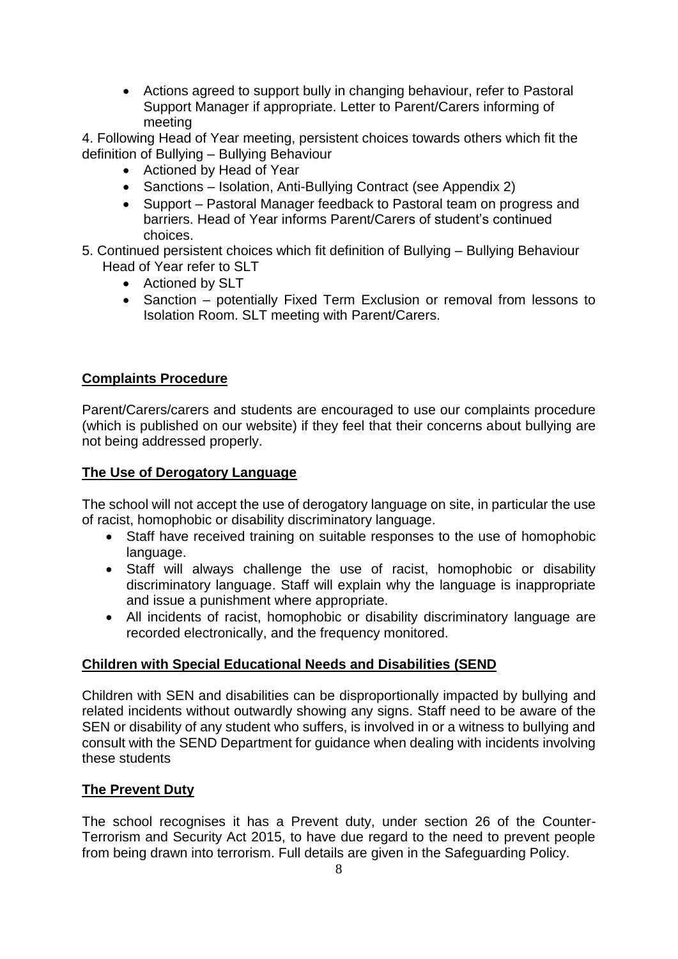Actions agreed to support bully in changing behaviour, refer to Pastoral Support Manager if appropriate. Letter to Parent/Carers informing of meeting

4. Following Head of Year meeting, persistent choices towards others which fit the definition of Bullying – Bullying Behaviour

- Actioned by Head of Year
- Sanctions Isolation, Anti-Bullying Contract (see Appendix 2)
- Support Pastoral Manager feedback to Pastoral team on progress and barriers. Head of Year informs Parent/Carers of student's continued choices.
- 5. Continued persistent choices which fit definition of Bullying Bullying Behaviour Head of Year refer to SLT
	- Actioned by SLT
	- Sanction potentially Fixed Term Exclusion or removal from lessons to Isolation Room. SLT meeting with Parent/Carers.

#### **Complaints Procedure**

Parent/Carers/carers and students are encouraged to use our complaints procedure (which is published on our website) if they feel that their concerns about bullying are not being addressed properly.

#### **The Use of Derogatory Language**

The school will not accept the use of derogatory language on site, in particular the use of racist, homophobic or disability discriminatory language.

- Staff have received training on suitable responses to the use of homophobic language.
- Staff will always challenge the use of racist, homophobic or disability discriminatory language. Staff will explain why the language is inappropriate and issue a punishment where appropriate.
- All incidents of racist, homophobic or disability discriminatory language are recorded electronically, and the frequency monitored.

#### **Children with Special Educational Needs and Disabilities (SEND**

Children with SEN and disabilities can be disproportionally impacted by bullying and related incidents without outwardly showing any signs. Staff need to be aware of the SEN or disability of any student who suffers, is involved in or a witness to bullying and consult with the SEND Department for guidance when dealing with incidents involving these students

#### **The Prevent Duty**

The school recognises it has a Prevent duty, under section 26 of the Counter-Terrorism and Security Act 2015, to have due regard to the need to prevent people from being drawn into terrorism. Full details are given in the Safeguarding Policy.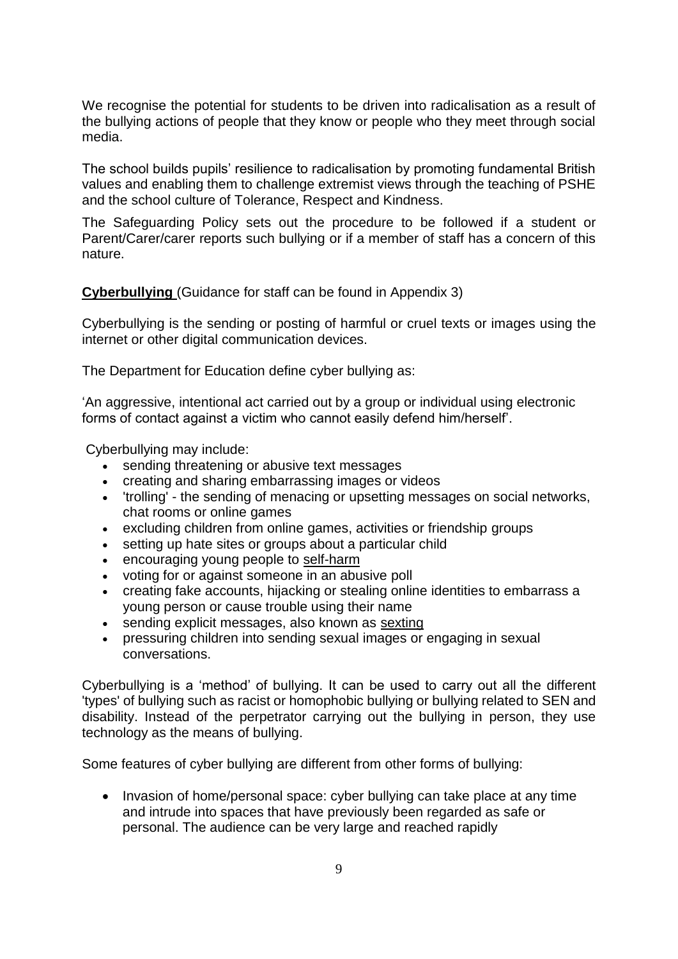We recognise the potential for students to be driven into radicalisation as a result of the bullying actions of people that they know or people who they meet through social media.

The school builds pupils' resilience to radicalisation by promoting fundamental British values and enabling them to challenge extremist views through the teaching of PSHE and the school culture of Tolerance, Respect and Kindness.

The Safeguarding Policy sets out the procedure to be followed if a student or Parent/Carer/carer reports such bullying or if a member of staff has a concern of this nature.

**Cyberbullying** (Guidance for staff can be found in Appendix 3)

Cyberbullying is the sending or posting of harmful or cruel texts or images using the internet or other digital communication devices.

The Department for Education define cyber bullying as:

'An aggressive, intentional act carried out by a group or individual using electronic forms of contact against a victim who cannot easily defend him/herself'.

Cyberbullying may include:

- sending threatening or abusive text messages
- creating and sharing embarrassing images or videos
- 'trolling' the sending of menacing or upsetting messages on social networks, chat rooms or online games
- excluding children from online games, activities or friendship groups
- setting up hate sites or groups about a particular child
- encouraging young people to [self-harm](https://www.nspcc.org.uk/preventing-abuse/keeping-children-safe/self-harm/)
- voting for or against someone in an abusive poll
- creating fake accounts, hijacking or stealing online identities to embarrass a young person or cause trouble using their name
- sending explicit messages, also known as [sexting](https://www.nspcc.org.uk/preventing-abuse/keeping-children-safe/sexting/)
- pressuring children into sending sexual images or engaging in sexual conversations.

Cyberbullying is a 'method' of bullying. It can be used to carry out all the different 'types' of bullying such as racist or homophobic bullying or bullying related to SEN and disability. Instead of the perpetrator carrying out the bullying in person, they use technology as the means of bullying.

Some features of cyber bullying are different from other forms of bullying:

• Invasion of home/personal space: cyber bullying can take place at any time and intrude into spaces that have previously been regarded as safe or personal. The audience can be very large and reached rapidly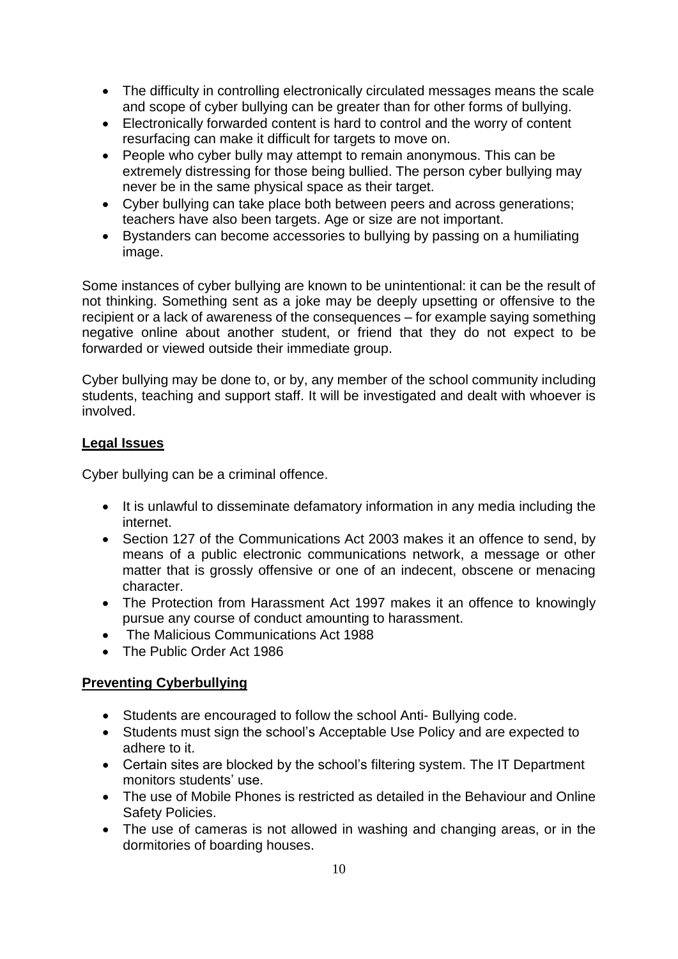- The difficulty in controlling electronically circulated messages means the scale and scope of cyber bullying can be greater than for other forms of bullying.
- Electronically forwarded content is hard to control and the worry of content resurfacing can make it difficult for targets to move on.
- People who cyber bully may attempt to remain anonymous. This can be extremely distressing for those being bullied. The person cyber bullying may never be in the same physical space as their target.
- Cyber bullying can take place both between peers and across generations; teachers have also been targets. Age or size are not important.
- Bystanders can become accessories to bullying by passing on a humiliating image.

Some instances of cyber bullying are known to be unintentional: it can be the result of not thinking. Something sent as a joke may be deeply upsetting or offensive to the recipient or a lack of awareness of the consequences – for example saying something negative online about another student, or friend that they do not expect to be forwarded or viewed outside their immediate group.

Cyber bullying may be done to, or by, any member of the school community including students, teaching and support staff. It will be investigated and dealt with whoever is involved.

# **Legal Issues**

Cyber bullying can be a criminal offence.

- It is unlawful to disseminate defamatory information in any media including the internet.
- Section 127 of the Communications Act 2003 makes it an offence to send, by means of a public electronic communications network, a message or other matter that is grossly offensive or one of an indecent, obscene or menacing character.
- The Protection from Harassment Act 1997 makes it an offence to knowingly pursue any course of conduct amounting to harassment.
- The Malicious Communications Act 1988
- The Public Order Act 1986

# **Preventing Cyberbullying**

- Students are encouraged to follow the school Anti- Bullying code.
- Students must sign the school's Acceptable Use Policy and are expected to adhere to it.
- Certain sites are blocked by the school's filtering system. The IT Department monitors students' use.
- The use of Mobile Phones is restricted as detailed in the Behaviour and Online Safety Policies.
- The use of cameras is not allowed in washing and changing areas, or in the dormitories of boarding houses.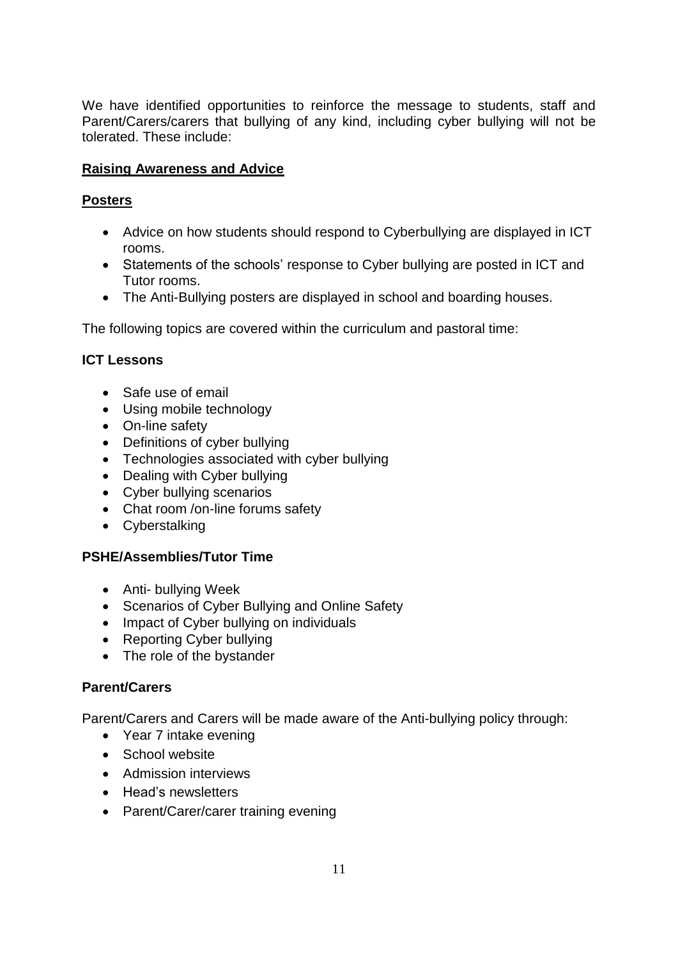We have identified opportunities to reinforce the message to students, staff and Parent/Carers/carers that bullying of any kind, including cyber bullying will not be tolerated. These include:

# **Raising Awareness and Advice**

#### **Posters**

- Advice on how students should respond to Cyberbullying are displayed in ICT rooms.
- Statements of the schools' response to Cyber bullying are posted in ICT and Tutor rooms.
- The Anti-Bullying posters are displayed in school and boarding houses.

The following topics are covered within the curriculum and pastoral time:

#### **ICT Lessons**

- Safe use of email
- Using mobile technology
- On-line safety
- Definitions of cyber bullying
- Technologies associated with cyber bullying
- Dealing with Cyber bullying
- Cyber bullying scenarios
- Chat room /on-line forums safety
- Cyberstalking

#### **PSHE/Assemblies/Tutor Time**

- Anti- bullying Week
- Scenarios of Cyber Bullying and Online Safety
- Impact of Cyber bullying on individuals
- Reporting Cyber bullying
- The role of the bystander

#### **Parent/Carers**

Parent/Carers and Carers will be made aware of the Anti-bullying policy through:

- Year 7 intake evening
- School website
- Admission interviews
- Head's newsletters
- Parent/Carer/carer training evening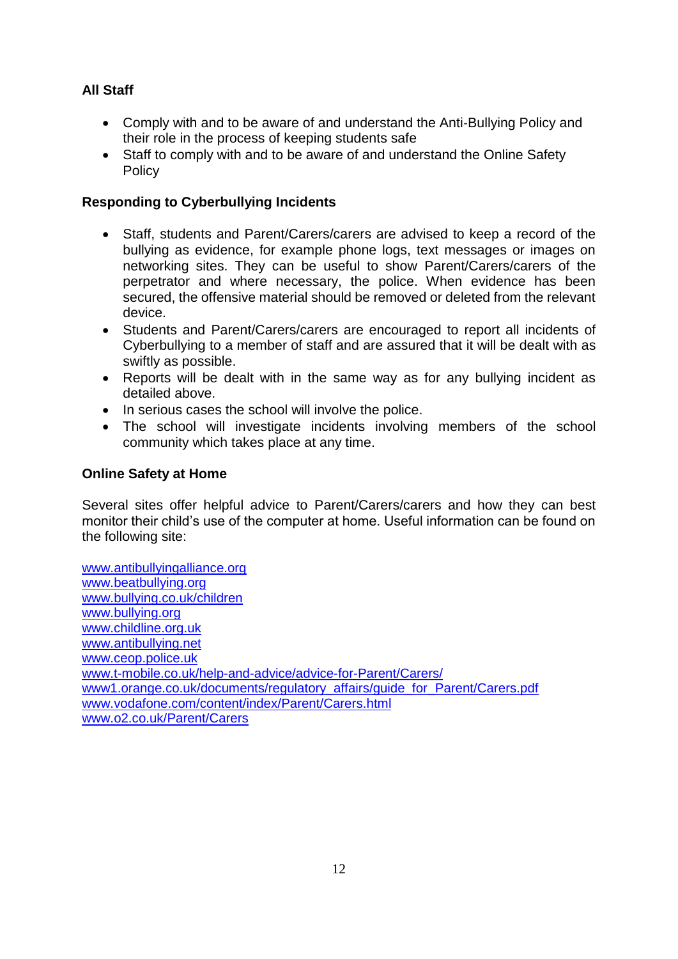# **All Staff**

- Comply with and to be aware of and understand the Anti‐Bullying Policy and their role in the process of keeping students safe
- Staff to comply with and to be aware of and understand the Online Safety Policy

### **Responding to Cyberbullying Incidents**

- Staff, students and Parent/Carers/carers are advised to keep a record of the bullying as evidence, for example phone logs, text messages or images on networking sites. They can be useful to show Parent/Carers/carers of the perpetrator and where necessary, the police. When evidence has been secured, the offensive material should be removed or deleted from the relevant device.
- Students and Parent/Carers/carers are encouraged to report all incidents of Cyberbullying to a member of staff and are assured that it will be dealt with as swiftly as possible.
- Reports will be dealt with in the same way as for any bullying incident as detailed above.
- In serious cases the school will involve the police.
- The school will investigate incidents involving members of the school community which takes place at any time.

#### **Online Safety at Home**

Several sites offer helpful advice to Parent/Carers/carers and how they can best monitor their child's use of the computer at home. Useful information can be found on the following site:

[www.antibullyingalliance.org](file:///C:/Users/pclackson/AppData/Local/Microsoft/Windows/INetCache/Content.Outlook/MCJ7DI71/www.antibullyingalliance.org) [www.beatbullying.org](file:///C:/Users/pclackson/AppData/Local/Microsoft/Windows/INetCache/Content.Outlook/MCJ7DI71/www.beatbullying.org) [www.bullying.co.uk/children](file:///C:/Users/pclackson/AppData/Local/Microsoft/Windows/INetCache/Content.Outlook/MCJ7DI71/www.bullying.co.uk/children) [www.bullying.org](file:///C:/Users/pclackson/AppData/Local/Microsoft/Windows/INetCache/Content.Outlook/MCJ7DI71/www.bullying.org) [www.childline.org.uk](file:///C:/Users/pclackson/AppData/Local/Microsoft/Windows/INetCache/Content.Outlook/MCJ7DI71/www.childline.org.uk) [www.antibullying.net](file:///C:/Users/pclackson/AppData/Local/Microsoft/Windows/INetCache/Content.Outlook/MCJ7DI71/www.antibullying.net) [www.ceop.police.uk](file:///C:/Users/pclackson/AppData/Local/Microsoft/Windows/INetCache/Content.Outlook/MCJ7DI71/www.ceop.police.uk) [www.t-mobile.co.uk/help-and-advice/advice-for-Parent/Carers/](file:///C:/Users/pclackson/AppData/Local/Microsoft/Windows/INetCache/Content.Outlook/MCJ7DI71/www.t-mobile.co.uk/help-and-advice/advice-for-parents/) [www1.orange.co.uk/documents/regulatory\\_affairs/guide\\_for\\_Parent/Carers.pdf](file:///C:/Users/pclackson/AppData/Local/Microsoft/Windows/INetCache/Content.Outlook/MCJ7DI71/www1.orange.co.uk/documents/regulatory_affairs/guide_for_parents.pdf) [www.vodafone.com/content/index/Parent/Carers.html](file:///C:/Users/pclackson/AppData/Local/Microsoft/Windows/INetCache/Content.Outlook/MCJ7DI71/www.vodafone.com/content/index/parents.html) [www.o2.co.uk/Parent/Carers](file:///C:/Users/pclackson/AppData/Local/Microsoft/Windows/INetCache/Content.Outlook/MCJ7DI71/www.o2.co.uk/parents)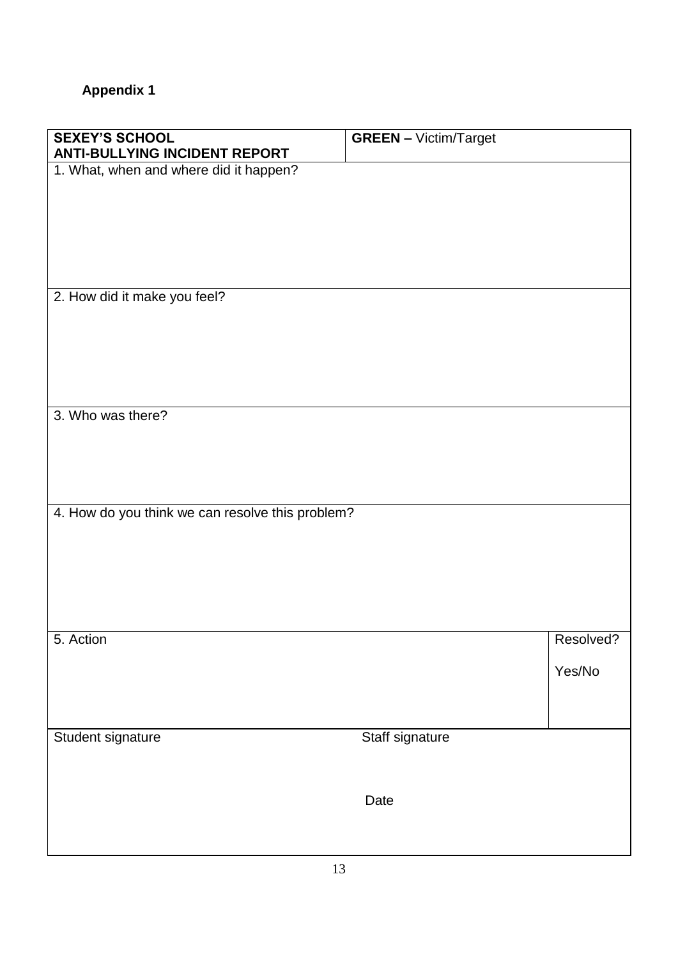# **Appendix 1**

| <b>SEXEY'S SCHOOL</b>                            | <b>GREEN - Victim/Target</b> |           |
|--------------------------------------------------|------------------------------|-----------|
| <b>ANTI-BULLYING INCIDENT REPORT</b>             |                              |           |
| 1. What, when and where did it happen?           |                              |           |
|                                                  |                              |           |
|                                                  |                              |           |
|                                                  |                              |           |
|                                                  |                              |           |
|                                                  |                              |           |
|                                                  |                              |           |
| 2. How did it make you feel?                     |                              |           |
|                                                  |                              |           |
|                                                  |                              |           |
|                                                  |                              |           |
|                                                  |                              |           |
|                                                  |                              |           |
| 3. Who was there?                                |                              |           |
|                                                  |                              |           |
|                                                  |                              |           |
|                                                  |                              |           |
|                                                  |                              |           |
|                                                  |                              |           |
| 4. How do you think we can resolve this problem? |                              |           |
|                                                  |                              |           |
|                                                  |                              |           |
|                                                  |                              |           |
|                                                  |                              |           |
|                                                  |                              |           |
|                                                  |                              |           |
| 5. Action                                        |                              | Resolved? |
|                                                  |                              |           |
|                                                  |                              | Yes/No    |
|                                                  |                              |           |
|                                                  |                              |           |
| Student signature                                | Staff signature              |           |
|                                                  |                              |           |
|                                                  |                              |           |
|                                                  |                              |           |
|                                                  | Date                         |           |
|                                                  |                              |           |
|                                                  |                              |           |
|                                                  |                              |           |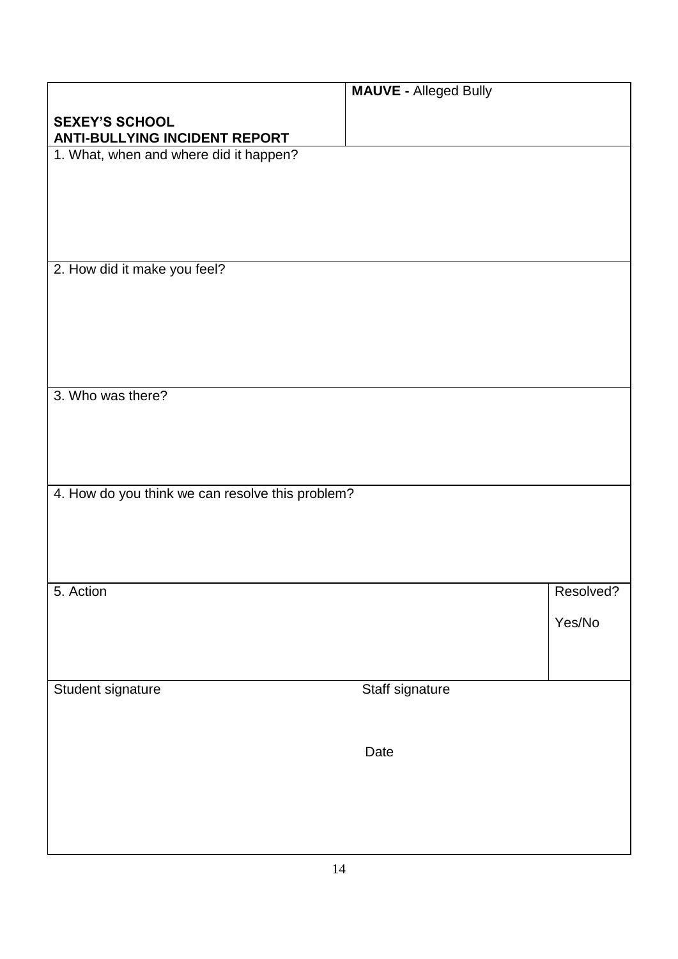|                                                               | <b>MAUVE - Alleged Bully</b> |           |
|---------------------------------------------------------------|------------------------------|-----------|
| <b>SEXEY'S SCHOOL</b><br><b>ANTI-BULLYING INCIDENT REPORT</b> |                              |           |
| 1. What, when and where did it happen?                        |                              |           |
|                                                               |                              |           |
|                                                               |                              |           |
|                                                               |                              |           |
| 2. How did it make you feel?                                  |                              |           |
|                                                               |                              |           |
|                                                               |                              |           |
|                                                               |                              |           |
|                                                               |                              |           |
| 3. Who was there?                                             |                              |           |
|                                                               |                              |           |
|                                                               |                              |           |
| 4. How do you think we can resolve this problem?              |                              |           |
|                                                               |                              |           |
|                                                               |                              |           |
|                                                               |                              |           |
| 5. Action                                                     |                              | Resolved? |
|                                                               |                              | Yes/No    |
|                                                               |                              |           |
| Student signature                                             | Staff signature              |           |
|                                                               |                              |           |
|                                                               | Date                         |           |
|                                                               |                              |           |
|                                                               |                              |           |
|                                                               |                              |           |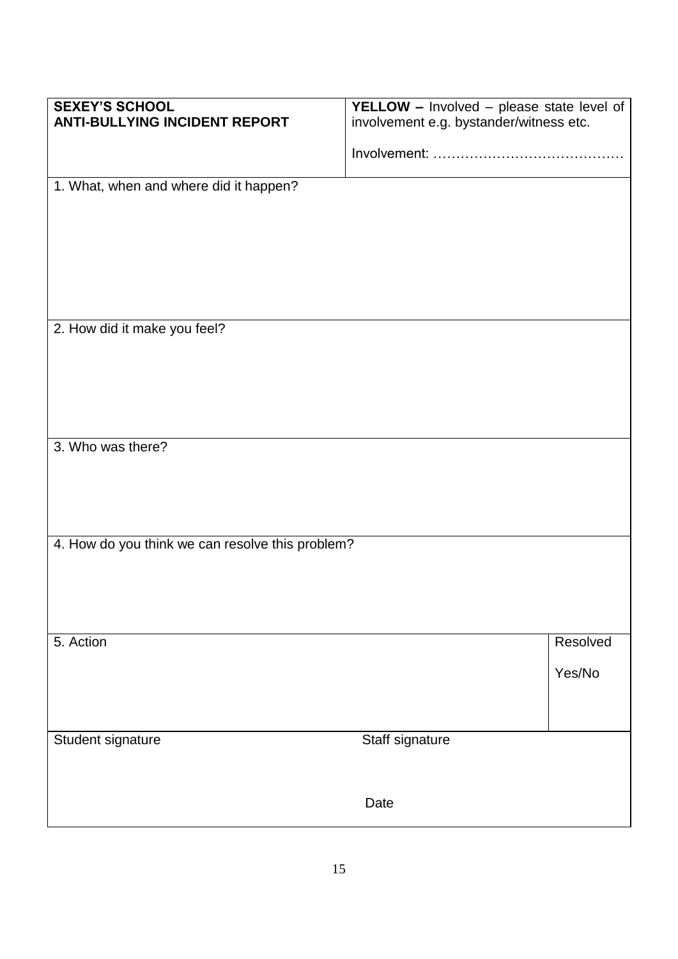| <b>SEXEY'S SCHOOL</b><br><b>ANTI-BULLYING INCIDENT REPORT</b> | <b>YELLOW</b> - Involved - please state level of |          |
|---------------------------------------------------------------|--------------------------------------------------|----------|
|                                                               | involvement e.g. bystander/witness etc.          |          |
|                                                               |                                                  |          |
| 1. What, when and where did it happen?                        |                                                  |          |
|                                                               |                                                  |          |
|                                                               |                                                  |          |
|                                                               |                                                  |          |
|                                                               |                                                  |          |
|                                                               |                                                  |          |
| 2. How did it make you feel?                                  |                                                  |          |
|                                                               |                                                  |          |
|                                                               |                                                  |          |
|                                                               |                                                  |          |
| 3. Who was there?                                             |                                                  |          |
|                                                               |                                                  |          |
|                                                               |                                                  |          |
|                                                               |                                                  |          |
| 4. How do you think we can resolve this problem?              |                                                  |          |
|                                                               |                                                  |          |
|                                                               |                                                  |          |
|                                                               |                                                  |          |
| 5. Action                                                     |                                                  | Resolved |
|                                                               |                                                  | Yes/No   |
|                                                               |                                                  |          |
|                                                               |                                                  |          |
| Student signature                                             | Staff signature                                  |          |
|                                                               |                                                  |          |
|                                                               | Date                                             |          |
|                                                               |                                                  |          |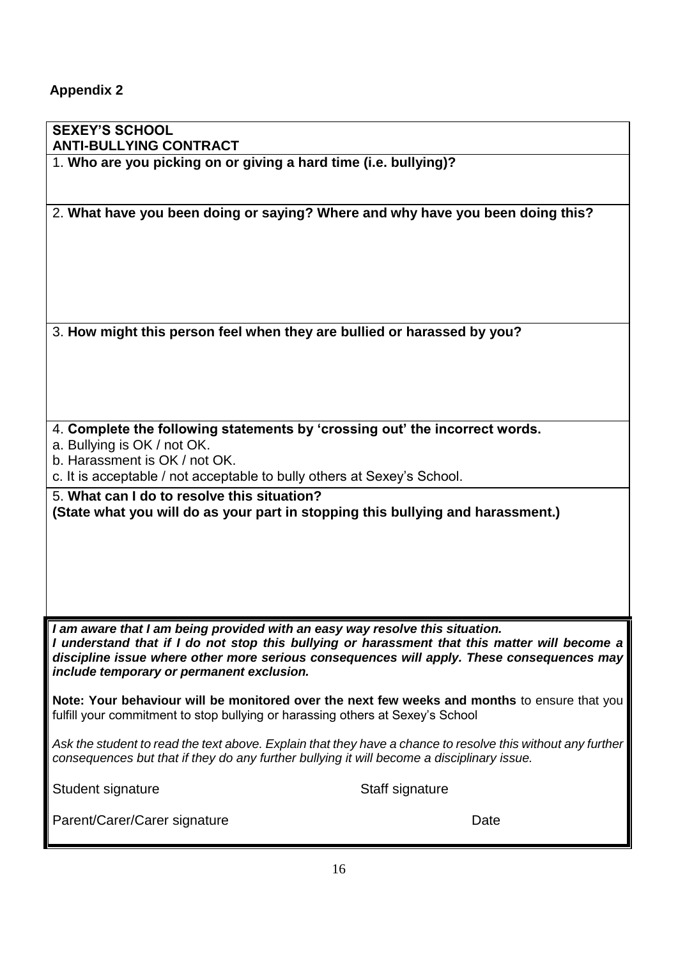# **Appendix 2**

| <b>SEXEY'S SCHOOL</b><br><b>ANTI-BULLYING CONTRACT</b>                                                                                                                                                                                                                                                                  |                 |  |
|-------------------------------------------------------------------------------------------------------------------------------------------------------------------------------------------------------------------------------------------------------------------------------------------------------------------------|-----------------|--|
| 1. Who are you picking on or giving a hard time (i.e. bullying)?                                                                                                                                                                                                                                                        |                 |  |
| 2. What have you been doing or saying? Where and why have you been doing this?                                                                                                                                                                                                                                          |                 |  |
| 3. How might this person feel when they are bullied or harassed by you?                                                                                                                                                                                                                                                 |                 |  |
| 4. Complete the following statements by 'crossing out' the incorrect words.<br>a. Bullying is OK / not OK.<br>b. Harassment is OK / not OK.<br>c. It is acceptable / not acceptable to bully others at Sexey's School.                                                                                                  |                 |  |
| 5. What can I do to resolve this situation?<br>(State what you will do as your part in stopping this bullying and harassment.)                                                                                                                                                                                          |                 |  |
| I am aware that I am being provided with an easy way resolve this situation.<br>I understand that if I do not stop this bullying or harassment that this matter will become a<br>discipline issue where other more serious consequences will apply. These consequences may<br>include temporary or permanent exclusion. |                 |  |
| Note: Your behaviour will be monitored over the next few weeks and months to ensure that you<br>fulfill your commitment to stop bullying or harassing others at Sexey's School                                                                                                                                          |                 |  |
| Ask the student to read the text above. Explain that they have a chance to resolve this without any further<br>consequences but that if they do any further bullying it will become a disciplinary issue.                                                                                                               |                 |  |
| Student signature                                                                                                                                                                                                                                                                                                       | Staff signature |  |
| Parent/Carer/Carer signature                                                                                                                                                                                                                                                                                            | Date            |  |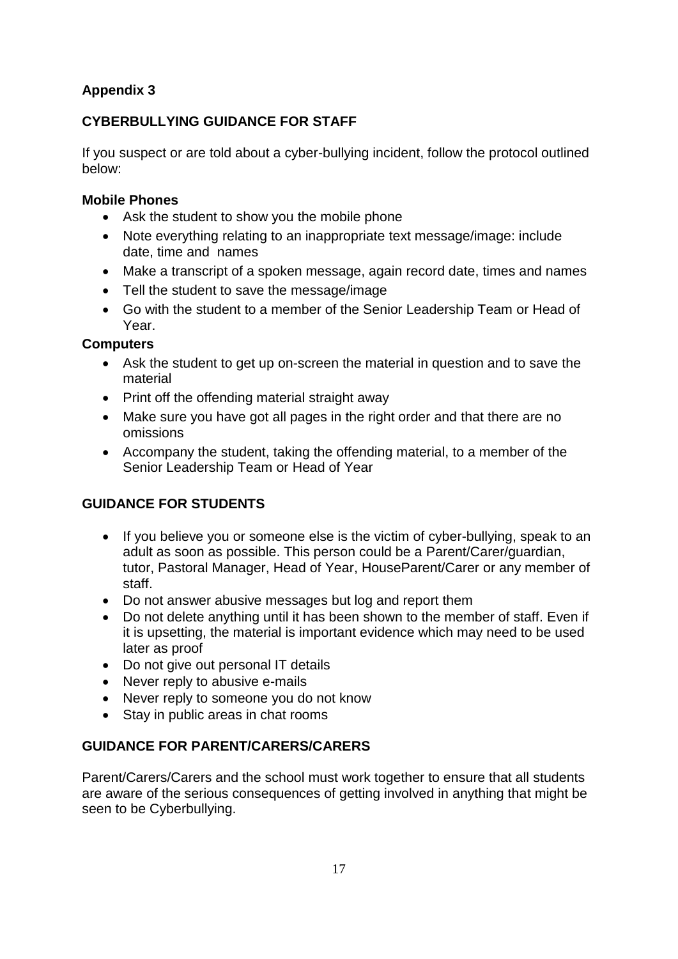# **Appendix 3**

# **CYBERBULLYING GUIDANCE FOR STAFF**

If you suspect or are told about a cyber-bullying incident, follow the protocol outlined below:

#### **Mobile Phones**

- Ask the student to show you the mobile phone
- Note everything relating to an inappropriate text message/image: include date, time and names
- Make a transcript of a spoken message, again record date, times and names
- Tell the student to save the message/image
- Go with the student to a member of the Senior Leadership Team or Head of Year.

#### **Computers**

- Ask the student to get up on-screen the material in question and to save the material
- Print off the offending material straight away
- Make sure you have got all pages in the right order and that there are no omissions
- Accompany the student, taking the offending material, to a member of the Senior Leadership Team or Head of Year

# **GUIDANCE FOR STUDENTS**

- If you believe you or someone else is the victim of cyber-bullying, speak to an adult as soon as possible. This person could be a Parent/Carer/guardian, tutor, Pastoral Manager, Head of Year, HouseParent/Carer or any member of staff.
- Do not answer abusive messages but log and report them
- Do not delete anything until it has been shown to the member of staff. Even if it is upsetting, the material is important evidence which may need to be used later as proof
- Do not give out personal IT details
- Never reply to abusive e-mails
- Never reply to someone you do not know
- Stay in public areas in chat rooms

# **GUIDANCE FOR PARENT/CARERS/CARERS**

Parent/Carers/Carers and the school must work together to ensure that all students are aware of the serious consequences of getting involved in anything that might be seen to be Cyberbullying.